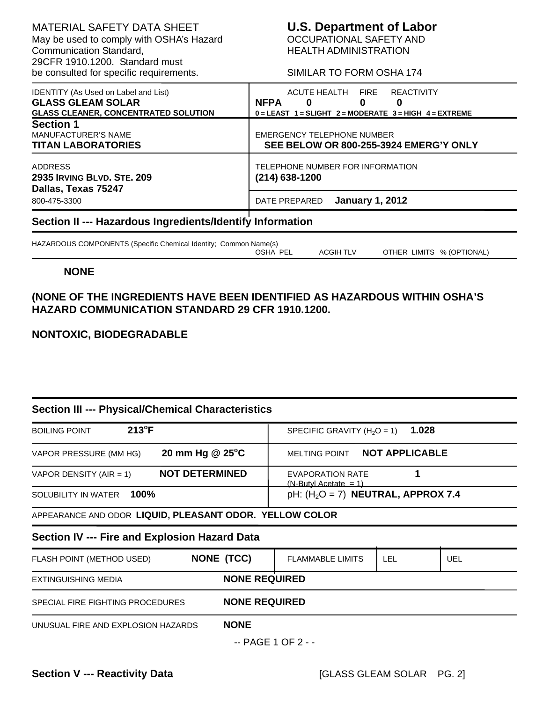MATERIAL SAFETY DATA SHEET<br>
May be used to comply with OSHA's Hazard **COLLARTIONAL SAFETY AND** May be used to comply with OSHA's Hazard Communication Standard, 29CFR 1910.1200. Standard must be consulted for specific requirements. SIMILAR TO FORM OSHA 174

HEALTH ADMINISTRATION

| <b>IDENTITY</b> (As Used on Label and List)<br><b>GLASS GLEAM SOLAR</b><br><b>GLASS CLEANER, CONCENTRATED SOLUTION</b> | ACUTE HEALTH FIRE<br><b>REACTIVITY</b><br><b>NFPA</b><br>0<br>0<br>0<br>$0 = LEAST$ 1 = SLIGHT 2 = MODERATE 3 = HIGH 4 = EXTREME |  |
|------------------------------------------------------------------------------------------------------------------------|----------------------------------------------------------------------------------------------------------------------------------|--|
| <b>Section 1</b><br><b>MANUFACTURER'S NAME</b><br><b>TITAN LABORATORIES</b>                                            | EMERGENCY TELEPHONE NUMBER<br>SEE BELOW OR 800-255-3924 EMERG'Y ONLY                                                             |  |
| <b>ADDRESS</b><br><b>2935 IRVING BLVD, STE, 209</b><br>Dallas, Texas 75247                                             | TELEPHONE NUMBER FOR INFORMATION<br>$(214)$ 638-1200                                                                             |  |
| 800-475-3300                                                                                                           | <b>January 1, 2012</b><br>DATE PREPARED                                                                                          |  |
| Section II --- Hazardous Ingredients/Identify Information                                                              |                                                                                                                                  |  |

HAZARDOUS COMPONENTS (Specific Chemical Identity; Common Name(s) OSHA PEL ACGIH TLV OTHER LIMITS % (OPTIONAL)

## **NONE**

# **(NONE OF THE INGREDIENTS HAVE BEEN IDENTIFIED AS HAZARDOUS WITHIN OSHA'S HAZARD COMMUNICATION STANDARD 29 CFR 1910.1200.**

# **NONTOXIC, BIODEGRADABLE**

# **Section III --- Physical/Chemical Characteristics**

| $213^{\circ}F$<br><b>BOILING POINT</b>                   |                       | SPECIFIC GRAVITY ( $H_2O = 1$ )                     | 1.028      |            |
|----------------------------------------------------------|-----------------------|-----------------------------------------------------|------------|------------|
| VAPOR PRESSURE (MM HG)                                   | 20 mm Hg @ 25°C       | MELTING POINT NOT APPLICABLE                        |            |            |
| VAPOR DENSITY (AIR = 1)                                  | <b>NOT DETERMINED</b> | <b>EVAPORATION RATE</b><br>$(N-Butyl Accitate = 1)$ | 1          |            |
| 100%<br>SOLUBILITY IN WATER                              |                       | pH: $(H2O = 7)$ NEUTRAL, APPROX 7.4                 |            |            |
| APPEARANCE AND ODOR LIQUID, PLEASANT ODOR. YELLOW COLOR  |                       |                                                     |            |            |
| Section IV --- Fire and Explosion Hazard Data            |                       |                                                     |            |            |
| FLASH POINT (METHOD USED)                                | <b>NONE (TCC)</b>     | <b>FLAMMABLE LIMITS</b>                             | <b>LEL</b> | <b>UEL</b> |
| <b>EXTINGUISHING MEDIA</b>                               | <b>NONE REQUIRED</b>  |                                                     |            |            |
| <b>NONE REQUIRED</b><br>SPECIAL FIRE FIGHTING PROCEDURES |                       |                                                     |            |            |
| UNUSUAL FIRE AND EXPLOSION HAZARDS                       | <b>NONE</b>           |                                                     |            |            |
|                                                          |                       | --------                                            |            |            |

-- PAGE 1 OF 2 - -